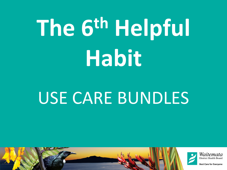# **The 6th Helpful Habit**

#### USE CARE BUNDLES

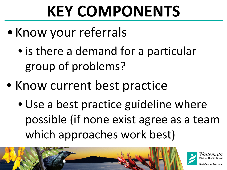### **KEY COMPONENTS**

- •Know your referrals
	- is there a demand for a particular group of problems?
- Know current best practice
	- Use a best practice guideline where possible (if none exist agree as a team which approaches work best)



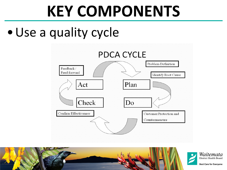#### **KEY COMPONENTS**

#### •Use a quality cycle



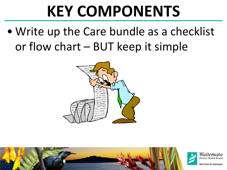#### **KEY COMPONENTS**

• Write up the Care bundle as a checklist or flow chart – BUT keep it simple



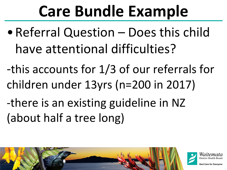### **Care Bundle Example**

- Referral Question Does this child have attentional difficulties?
- -this accounts for 1/3 of our referrals for children under 13yrs (n=200 in 2017)
- -there is an existing guideline in NZ (about half a tree long)



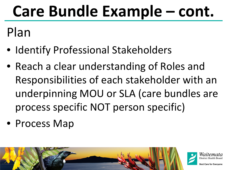Plan

- Identify Professional Stakeholders
- Reach a clear understanding of Roles and Responsibilities of each stakeholder with an underpinning MOU or SLA (care bundles are process specific NOT person specific)
- Process Map

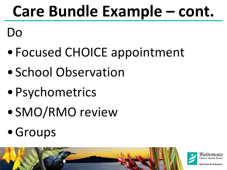Do

- •Focused CHOICE appointment
- School Observation
- •Psychometrics
- •SMO/RMO review
- Groups

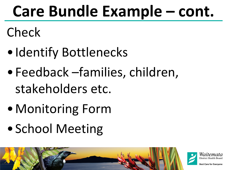Check

- •Identify Bottlenecks
- •Feedback –families, children, stakeholders etc.
- •Monitoring Form
- •School Meeting



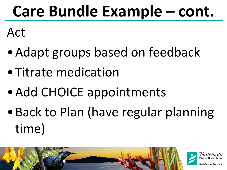Act

- •Adapt groups based on feedback
- •Titrate medication
- •Add CHOICE appointments
- •Back to Plan (have regular planning time)